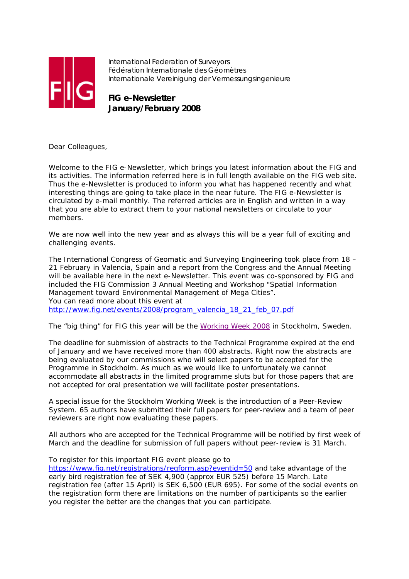

International Federation of Surveyors Fédération Internationale des Géomètres Internationale Vereinigung der Vermessungsingenieure

**FIG e-Newsletter January/February 2008**

Dear Colleagues,

Welcome to the FIG e-Newsletter, which brings you latest information about the FIG and its activities. The information referred here is in full length available on the FIG web site. Thus the e-Newsletter is produced to inform you what has happened recently and what interesting things are going to take place in the near future. The FIG e-Newsletter is circulated by e-mail monthly. The referred articles are in English and written in a way that you are able to extract them to your national newsletters or circulate to your members.

We are now well into the new year and as always this will be a year full of exciting and challenging events.

The International Congress of Geomatic and Surveying Engineering took place from 18 – 21 February in Valencia, Spain and a report from the Congress and the Annual Meeting will be available here in the next e-Newsletter. This event was co-sponsored by FIG and included the FIG Commission 3 Annual Meeting and Workshop "Spatial Information Management toward Environmental Management of Mega Cities". You can read more about this event at http://www.fig.net/events/2008/program\_valencia\_18\_21\_feb\_07.pdf

The "big thing" for FIG this year will be the Working Week 2008 in Stockholm, Sweden.

The deadline for submission of abstracts to the Technical Programme expired at the end of January and we have received more than 400 abstracts. Right now the abstracts are being evaluated by our commissions who will select papers to be accepted for the Programme in Stockholm. As much as we would like to unfortunately we cannot accommodate all abstracts in the limited programme sluts but for those papers that are not accepted for oral presentation we will facilitate poster presentations.

A special issue for the Stockholm Working Week is the introduction of a Peer-Review System. 65 authors have submitted their full papers for peer-review and a team of peer reviewers are right now evaluating these papers.

All authors who are accepted for the Technical Programme will be notified by first week of March and the deadline for submission of full papers without peer-review is 31 March.

To register for this important FIG event please go to

https://www.fig.net/registrations/regform.asp?eventid=50 and take advantage of the early bird registration fee of SEK 4,900 (approx EUR 525) before 15 March. Late registration fee (after 15 April) is SEK 6,500 (EUR 695). For some of the social events on the registration form there are limitations on the number of participants so the earlier you register the better are the changes that you can participate.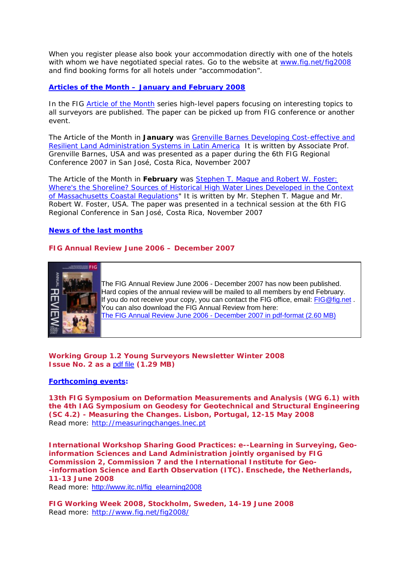When you register please also book your accommodation directly with one of the hotels with whom we have negotiated special rates. Go to the website at www.fig.net/fig2008 and find booking forms for all hotels under "accommodation".

## **Articles of the Month – January and February 2008**

In the FIG *Article of the Month* series high-level papers focusing on interesting topics to all surveyors are published. The paper can be picked up from FIG conference or another event.

The Article of the Month in **January** was Grenville Barnes Developing Cost-effective and Resilient Land Administration Systems in Latin America It is written by Associate Prof. Grenville Barnes, USA and was presented as a paper during the 6th FIG Regional Conference 2007 in San José, Costa Rica, November 2007

The Article of the Month in **February** was Stephen T. Mague and Robert W. Foster: Where's the Shoreline? Sources of Historical High Water Lines Developed in the Context of Massachusetts Coastal Regulations" It is written by Mr. Stephen T. Mague and Mr. Robert W. Foster, USA. The paper was presented in a technical session at the 6th FIG Regional Conference in San José, Costa Rica, November 2007

## **News of the last months**

# **FIG Annual Review June 2006 – December 2007**



The FIG Annual Review June 2006 - December 2007 has now been published. Hard copies of the annual review will be mailed to all members by end February. If you do not receive your copy, you can contact the FIG office, email: FIG@fig.net. You can also download the FIG Annual Review from here: The FIG Annual Review June 2006 - December 2007 in pdf-format (2.60 MB)

**Working Group 1.2 Young Surveyors Newsletter Winter 2008 Issue No. 2 as a** pdf file **(1.29 MB)** 

## **Forthcoming events:**

**13th FIG Symposium on Deformation Measurements and Analysis (WG 6.1) with the 4th IAG Symposium on Geodesy for Geotechnical and Structural Engineering (SC 4.2) - Measuring the Changes. Lisbon, Portugal, 12-15 May 2008**  Read more: http://measuringchanges.lnec.pt

**International Workshop Sharing Good Practices: e--Learning in Surveying, Geoinformation Sciences and Land Administration jointly organised by FIG Commission 2, Commission 7 and the International Institute for Geo- -information Science and Earth Observation (ITC). Enschede, the Netherlands, 11-13 June 2008**  Read more: http://www.itc.nl/fig\_elearning2008

**FIG Working Week 2008, Stockholm, Sweden, 14-19 June 2008**  Read more: http://www.fig.net/fig2008/